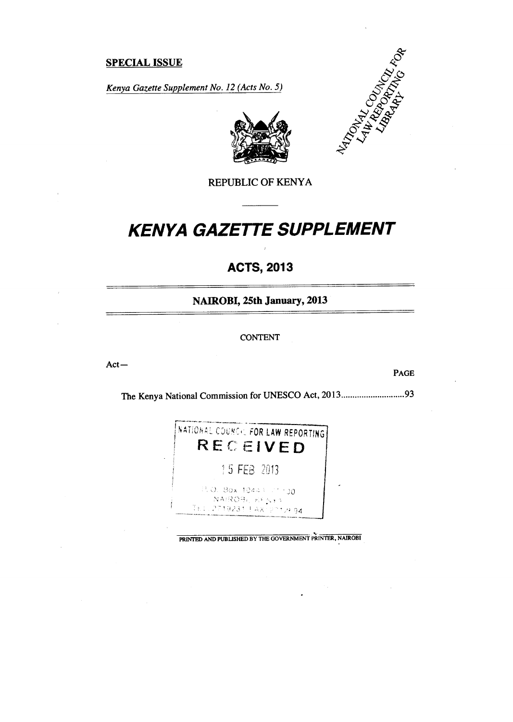# **SPECIAL ISSUE**

*Kenya Gazette Supplement No. 12 (Acts No. 5)* 





REPUBLIC OF KENYA

# *KENYA GAZETTE SUPPLEMENT*

# **ACTS, 2013**

**NAIROBI, 25th January, 2013** 

#### CONTENT

Act—

PAGE

The Kenya National Commission for UNESCO Act, 2013..................................93



PRINTED AND PUBLISHED BY THE GOVERNMENT PRINTER, NAIROBI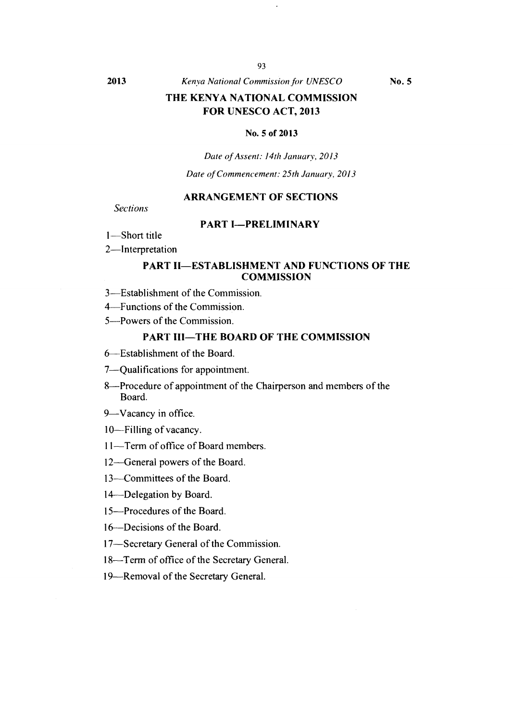# **THE KENYA NATIONAL COMMISSION FOR UNESCO ACT, 2013**

#### **No. 5 of 2013**

*Date of Assent: 14th January, 2013* 

*Date of Commencement: 25th January, 2013* 

# **ARRANGEMENT OF SECTIONS**

*Sections* 

# **PART I—PRELIMINARY**

1—Short title

2—Interpretation

#### **PART II—ESTABLISHMENT AND FUNCTIONS OF THE COMMISSION**

3—Establishment of the Commission.

4—Functions of the Commission.

5—Powers of the Commission.

# **PART III—THE BOARD OF THE COMMISSION**

6—Establishment of the Board.

7—Qualifications for appointment.

8—Procedure of appointment of the Chairperson and members of the Board.

9—Vacancy in office.

10—Filling of vacancy.

11—Term of office of Board members.

12—General powers of the Board.

13—Committees of the Board.

14—Delegation by Board.

15—Procedures of the Board.

16—Decisions of the Board.

17—Secretary General of the Commission.

18—Term of office of the Secretary General.

19—Removal of the Secretary General.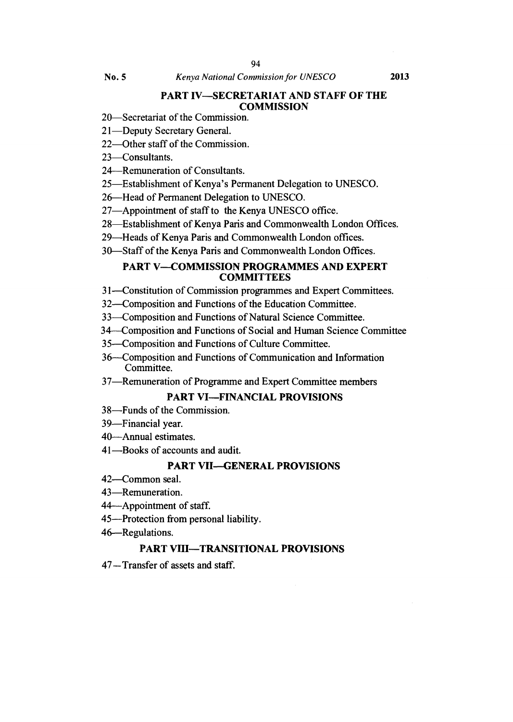# **PART IV—SECRETARIAT AND STAFF OF THE COMMISSION**

- 20—Secretariat of the Commission.
- 21—Deputy Secretary General.
- 22—Other staff of the Commission.
- 23—Consultants.
- 24—Remuneration of Consultants.
- 25—Establishment of Kenya's Permanent Delegation to UNESCO.
- 26—Head of Permanent Delegation to UNESCO.
- 27—Appointment of staff to the Kenya UNESCO office.
- 28—Establishment of Kenya Paris and Commonwealth London Offices.
- 29—Heads of Kenya Paris and Commonwealth London offices.
- 30—Staff of the Kenya Paris and Commonwealth London Offices.

# **PART V—COMMISSION PROGRAMMES AND EXPERT COMMITTEES**

- 31—Constitution of Commission programmes and Expert Committees.
- 32—Composition and Functions of the Education Committee.
- 33—Composition and Functions of Natural Science Committee.
- 34 Composition and Functions of Social and Human Science Committee
- 35—Composition and Functions of Culture Committee.
- 36—Composition and Functions of Communication and Information Committee.
- 37—Remuneration of Programme and Expert Committee members

# **PART VI—FINANCIAL PROVISIONS**

- 38—Funds of the Commission.
- 39—Financial year.
- 40—Annual estimates.
- 41—Books of accounts and audit.

# **PART VII—GENERAL PROVISIONS**

- 42—Common seal.
- 43—Remuneration.
- 44—Appointment of staff.
- 45—Protection from personal liability.
- 46—Regulations.

#### **PART VIII—TRANSITIONAL PROVISIONS**

47—Transfer of assets and staff.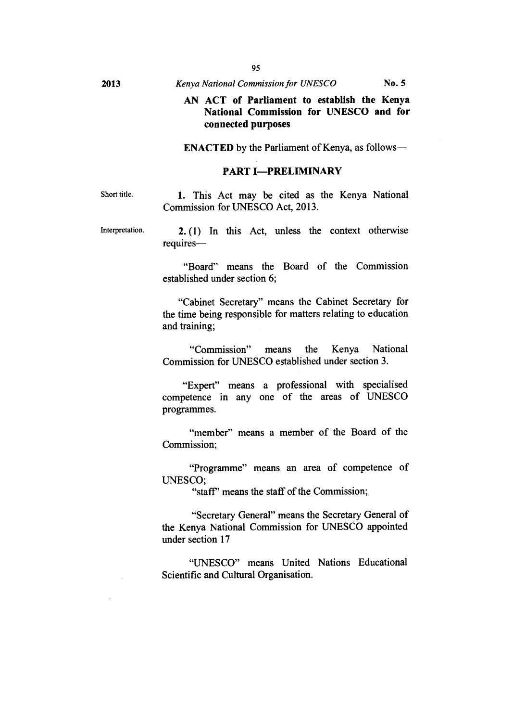# **AN ACT of Parliament to establish the Kenya National Commission for UNESCO and for connected purposes**

**ENACTED** by the Parliament of Kenya, as follows—

#### **PART I—PRELIMINARY**

Short title. **1.** This Act may be cited as the Kenya National Commission for UNESCO Act, 2013.

Interpretation. **2. (1)** In this Act, unless the context otherwise requires—

> "Board" means the Board of the Commission established under section 6;

> "Cabinet Secretary" means the Cabinet Secretary for the time being responsible for matters relating to education and training;

> "Commission" means the Kenya National Commission for UNESCO established under section 3.

> "Expert" means a professional with specialised competence in any one of the areas of UNESCO programmes.

> "member" means a member of the Board of the Commission;

> "Programme" means an area of competence of UNESCO;

> > "staff' means the staff of the Commission;

"Secretary General" means the Secretary General of the Kenya National Commission for UNESCO appointed under section 17

"UNESCO" means United Nations Educational Scientific and Cultural Organisation.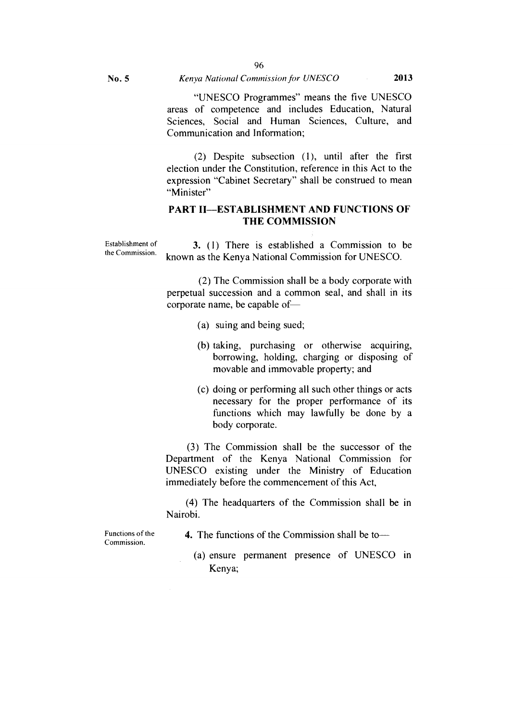**(2)** Despite subsection (1), until after the first election under the Constitution, reference in this Act to the expression "Cabinet Secretary" shall be construed to mean "Minister"

# **PART II—ESTABLISHMENT AND FUNCTIONS OF THE COMMISSION**

Establishment of the Commission. **3.** (1) There is established a Commission to be known as the Kenya National Commission for UNESCO.

> (2) The Commission shall be a body corporate with perpetual succession and a common seal, and shall in its corporate name, be capable of—

- (a) suing and being sued;
- (b) taking, purchasing or otherwise acquiring, borrowing, holding, charging or disposing of movable and immovable property; and
- (c) doing or performing all such other things or acts necessary for the proper performance of its functions which may lawfully be done by a body corporate.

(3) The Commission shall be the successor of the Department of the Kenya National Commission for UNESCO existing under the Ministry of Education immediately before the commencement of this Act,

(4) The headquarters of the Commission shall be in Nairobi.

Functions of the Commission.

**4.** The functions of the Commission shall be to—

(a) ensure permanent presence of UNESCO in Kenya;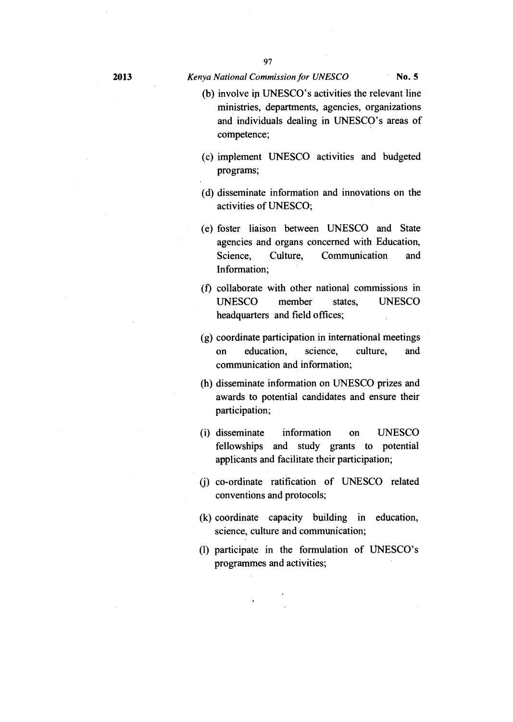- (b) involve in UNESCO's activities the relevant line ministries, departments, agencies, organizations and individuals dealing in UNESCO's areas of competence;
- (c) implement UNESCO activities and budgeted programs;
- (d) disseminate information and innovations on the activities of UNESCO;
- (e) foster liaison between UNESCO and State agencies and organs concerned with Education, Science, Culture, Communication and Information;
- (f) collaborate with other national commissions in UNESCO member states, UNESCO headquarters and field offices;
- (g) coordinate participation in international meetings on education, science, culture, and communication and information;
- (h) disseminate information on UNESCO prizes and awards to potential candidates and ensure their participation;
- (i) disseminate information on UNESCO fellowships and study grants to potential applicants and facilitate their participation;
- (j) co-ordinate ratification of UNESCO related conventions and protocols;
- (k) coordinate capacity building in education, science, culture and communication;
- (1) participate in the formulation of UNESCO's programmes and activities;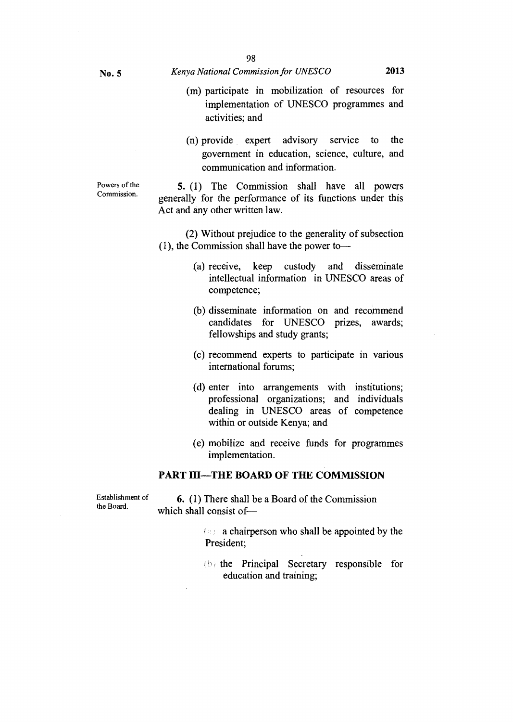- (m) participate in mobilization of resources for implementation of UNESCO programmes and activities; and
- (n) provide expert advisory service to the government in education, science, culture, and communication and information.

Powers of the Commission.

**5.** (1) The Commission shall have all powers generally for the performance of its functions under this Act and any other written law.

(2) Without prejudice to the generality of subsection (1), the Commission shall have the power to—

- (a) receive, keep custody and disseminate intellectual information in UNESCO areas of competence;
- (b) disseminate information on and recommend candidates for UNESCO prizes, awards; fellowships and study grants;
- (c) recommend experts to participate in various international forums;
- (d) enter into arrangements with institutions; professional organizations; and individuals dealing in UNESCO areas of competence within or outside Kenya; and
- (e) mobilize and receive funds for programmes implementation.

# **PART III—THE BOARD OF THE COMMISSION**

Establishment of the Board.

**6.** (1) There shall be a Board of the Commission which shall consist of—

> $\langle \cdot \rangle$  a chairperson who shall be appointed by the President;

> (b) the Principal Secretary responsible for education and training;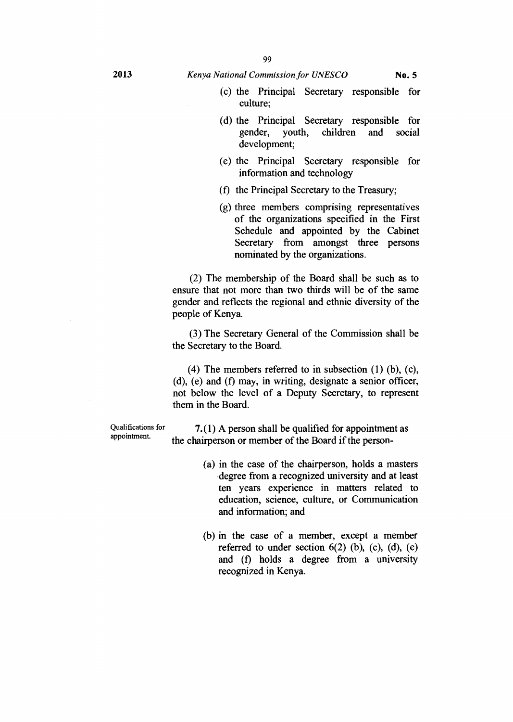- (c) the Principal Secretary responsible for culture;
- (d) the Principal Secretary responsible for gender, youth, children and social development;
- (e) the Principal Secretary responsible for information and technology
- (f) the Principal Secretary to the Treasury;
- (g) three members comprising representatives of the organizations specified in the First Schedule and appointed by the Cabinet Secretary from amongst three persons nominated by the organizations.

(2) The membership of the Board shall be such as to ensure that not more than two thirds will be of the same gender and reflects the regional and ethnic diversity of the people of Kenya.

(3) The Secretary General of the Commission shall be the Secretary to the Board.

(4) The members referred to in subsection (1) (b), (c),  $(d)$ ,  $(e)$  and  $(f)$  may, in writing, designate a senior officer, not below the level of a Deputy Secretary, to represent them in the Board.

Qualifications for appointment.

**7. (1)** A person shall be qualified for appointment as the chairperson or member of the Board if the person-

- (a) in the case of the chairperson, holds a masters degree from a recognized university and at least ten years experience in matters related to education, science, culture, or Communication and information; and
- (b) in the case of a member, except a member referred to under section  $6(2)$  (b), (c), (d), (e) and (f) holds a degree from a university recognized in Kenya.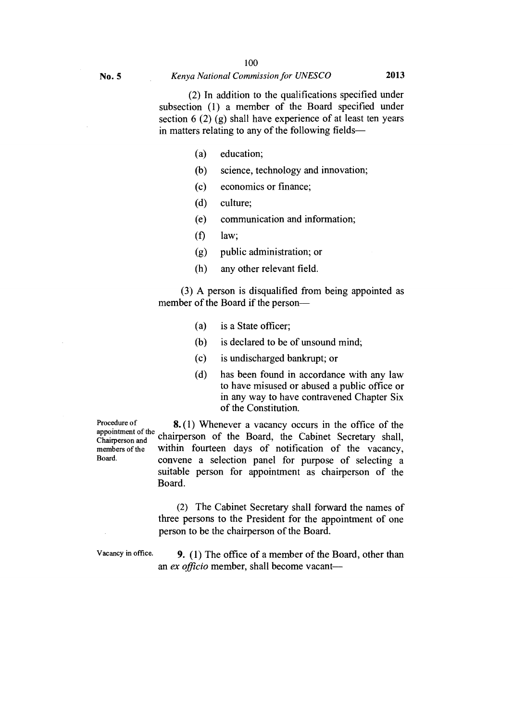(2) In addition to the qualifications specified under subsection (1) a member of the Board specified under section  $6(2)(g)$  shall have experience of at least ten years in matters relating to any of the following fields—

- (a) education;
- (b) science, technology and innovation;
- (c) economics or finance;
- (d) culture;
- (e) communication and information;
- $(f)$  law;
- (g) public administration; or
- (h) any other relevant field.

(3) A person is disqualified from being appointed as member of the Board if the person—

- (a) is a State officer;
- (b) is declared to be of unsound mind;
- (c) is undischarged bankrupt; or
- (d) has been found in accordance with any law to have misused or abused a public office or in any way to have contravened Chapter Six of the Constitution.

Procedure of appointment of the members of the Board.

appomment of the chairperson of the Board, the Cabinet Secretary shall, **8.** (1) Whenever a vacancy occurs in the office of the within fourteen days of notification of the vacancy, convene a selection panel for purpose of selecting a suitable person for appointment as chairperson of the Board.

> (2) The Cabinet Secretary shall forward the names of three persons to the President for the appointment of one person to be the chairperson of the Board.

Vacancy in office. **9. ( 1)** The office of a member of the Board, other than an *ex officio* member, shall become vacant—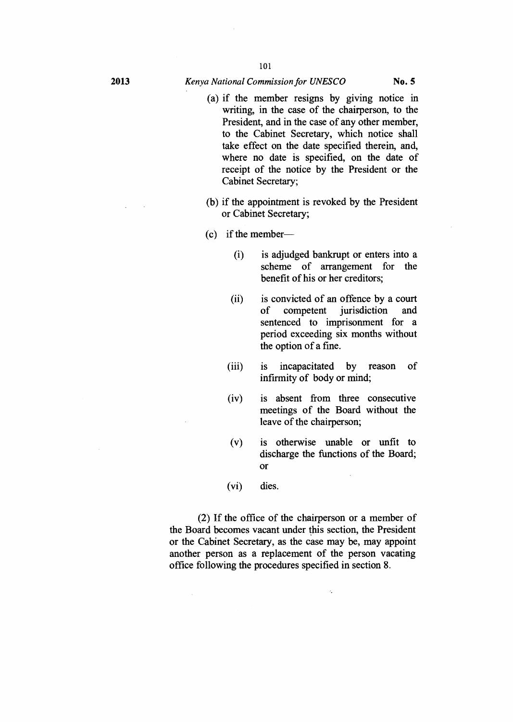- (a) if the member resigns by giving notice in writing, in the case of the chairperson, to the President, and in the case of any other member, to the Cabinet Secretary, which notice shall take effect on the date specified therein, and, where no date is specified, on the date of receipt of the notice by the President or the Cabinet Secretary;
- (b) if the appointment is revoked by the President or Cabinet Secretary;
- (c) if the member—
	- (i) is adjudged bankrupt or enters into a scheme of arrangement for the benefit of his or her creditors;
	- (ii) is convicted of an offence by a court of competent jurisdiction and sentenced to imprisonment for a period exceeding six months without the option of a fine.
	- (iii) is incapacitated by reason of infirmity of body or mind;
	- (iv) is absent from three consecutive meetings of the Board without the leave of the chairperson;
	- (v) is otherwise unable or unfit to discharge the functions of the Board; **Or**

l.

(vi) dies.

(2) If the office of the chairperson or a member of the Board becomes vacant under this section, the President or the Cabinet Secretary, as the case may be, may appoint another person as a replacement of the person vacating office following the procedures specified in section 8.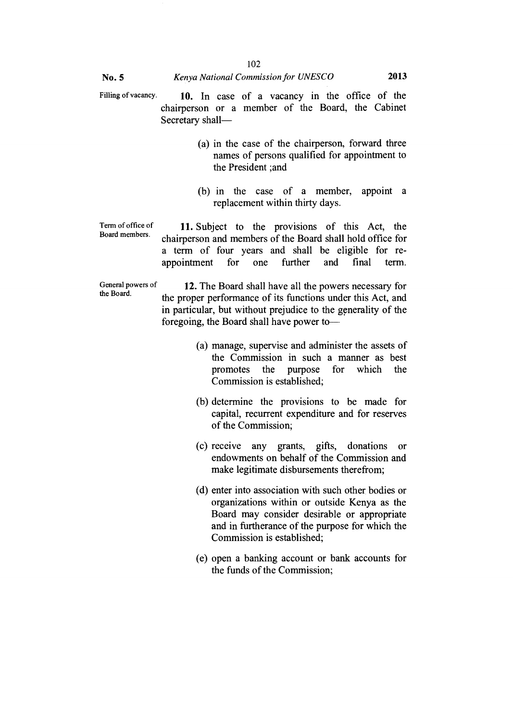- Filling of vacancy. **10.** In case of a vacancy in the office of the chairperson or a member of the Board, the Cabinet Secretary shall—
	- (a) in the case of the chairperson, forward three names of persons qualified for appointment to the President ;and
	- (b) in the case of a member, appoint a replacement within thirty days.

Term of office of Board members.

11. Subject to the provisions of this Act, the chairperson and members of the Board shall hold office for a term of four years and shall be eligible for reappointment for one further and final term.

General powers of **12.** The Board shall have all the powers necessary for the Board. the proper performance of its functions under this Act, and in particular, but without prejudice to the generality of the foregoing, the Board shall have power to—

- (a) manage, supervise and administer the assets of the Commission in such a manner as best promotes the purpose for which the Commission is established;
- (b) determine the provisions to be made for capital, recurrent expenditure and for reserves of the Commission;
- (c) receive any grants, gifts, donations or endowments on behalf of the Commission and make legitimate disbursements therefrom;
- (d) enter into association with such other bodies or organizations within or outside Kenya as the Board may consider desirable or appropriate and in furtherance of the purpose for which the Commission is established;
- (e) open a banking account or bank accounts for the funds of the Commission;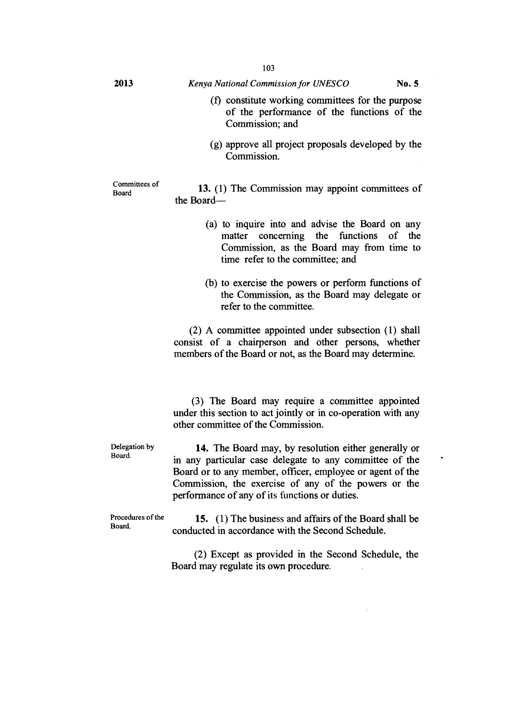- (f) constitute working committees for the purpose of the performance of the functions of the Commission; and
- (g) approve all project proposals developed by the Commission.

Committees of

 $B<sub>board</sub>$  13. (1) The Commission may appoint committees of the Board—

- (a) to inquire into and advise the Board on any matter concerning the functions of the Commission, as the Board may from time to time refer to the committee; and
- (b) to exercise the powers or perform functions of the Commission, as the Board may delegate or refer to the committee.

(2) A committee appointed under subsection (1) shall consist of a chairperson and other persons, whether members of the Board or not, as the Board may determine.

(3) The Board may require a committee appointed under this section to act jointly or in co-operation with any other committee of the Commission.

Delegation by Board.

14. The Board may, by resolution either generally or in any particular case delegate to any committee of the Board or to any member, officer, employee or agent of the Commission, the exercise of any of the powers or the performance of any of its functions or duties.

Procedures of the Board.

15. (1) The business and affairs of the Board shall be conducted in accordance with the Second Schedule.

(2) Except as provided in the Second Schedule, the Board may regulate its own procedure.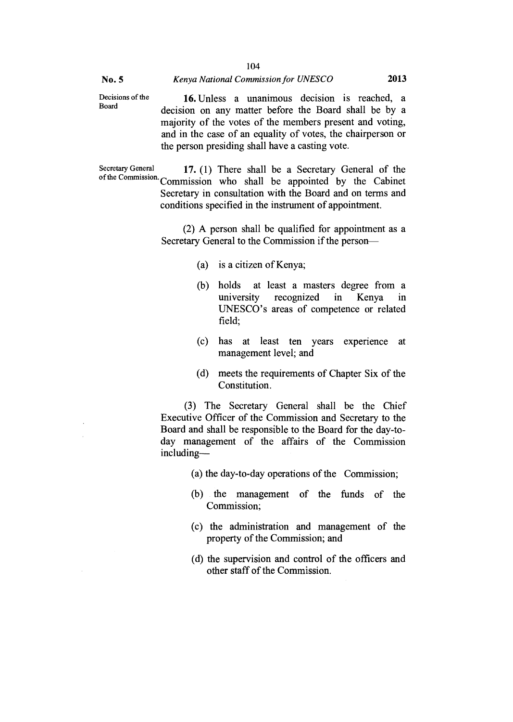Decisions of the Board **16.** Unless a unanimous decision is reached, a decision on any matter before the Board shall be by a majority of the votes of the members present and voting, and in the case of an equality of votes, the chairperson or the person presiding shall have a casting vote.

104

Secretary General **17. (1)** There shall be a Secretary General of the of the Commission. Commission who shall be appointed by the Cabinet Secretary in consultation with the Board and on terms and conditions specified in the instrument of appointment.

> (2) A person shall be qualified for appointment as a Secretary General to the Commission if the person—

- (a) is a citizen of Kenya;
- (b) holds at least a masters degree from a university recognized in Kenya in UNESCO's areas of competence or related field;
- (c) has at least ten years experience at management level; and
- (d) meets the requirements of Chapter Six of the Constitution.

(3) The Secretary General shall be the Chief Executive Officer of the Commission and Secretary to the Board and shall be responsible to the Board for the day-today management of the affairs of the Commission including—

- (a) the day-to-day operations of the Commission;
- (b) the management of the funds of the Commission;
- (c) the administration and management of the property of the Commission; and
- (d) the supervision and control of the officers and other staff of the Commission.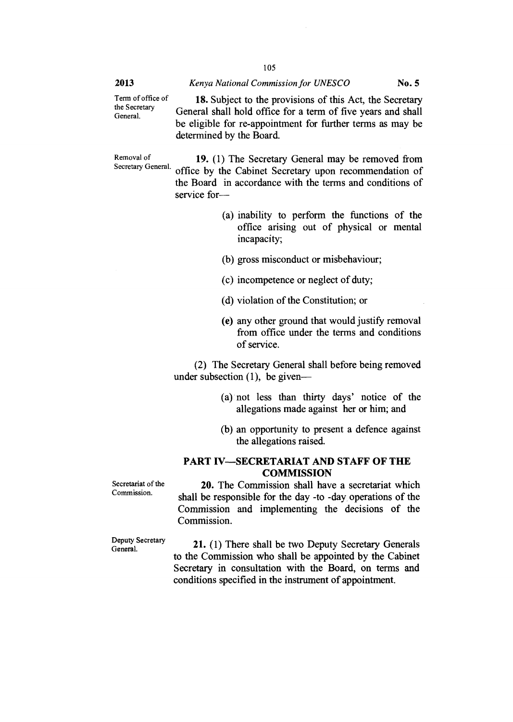Term of office of the Secretary General.

**18.** Subject to the provisions of this Act, the Secretary General shall hold office for a term of five years and shall be eligible for re-appointment for further terms as may be determined by the Board.

Removal of **19.** (1) The Secretary General may be removed from Secretary General. of fixes by the Cehinet Secretary upon recommendation of office by the Cabinet Secretary upon recommendation of the Board in accordance with the terms and conditions of service for—

- (a) inability to perform the functions of the office arising out of physical or mental incapacity;
- (b) gross misconduct or misbehaviour;
- (c) incompetence or neglect of duty;
- (d) violation of the Constitution; or
- (e) any other ground that would justify removal from office under the terms and conditions of service.

(2) The Secretary General shall before being removed under subsection (1), be given—

- (a) not less than thirty days' notice of the allegations made against her or him; and
- (b) an opportunity to present a defence against the allegations raised.

# **PART IV—SECRETARIAT AND STAFF OF THE COMMISSION**

Secretariat of the Commission.

**20.** The Commission shall have a secretariat which shall be responsible for the day -to -day, operations of the Commission and implementing the decisions of the Commission.

Deputy Secretary General.

**21.** (1) There shall be two Deputy Secretary Generals to the Commission who shall be appointed by the Cabinet Secretary in consultation with the Board, on terms and conditions specified in the instrument of appointment.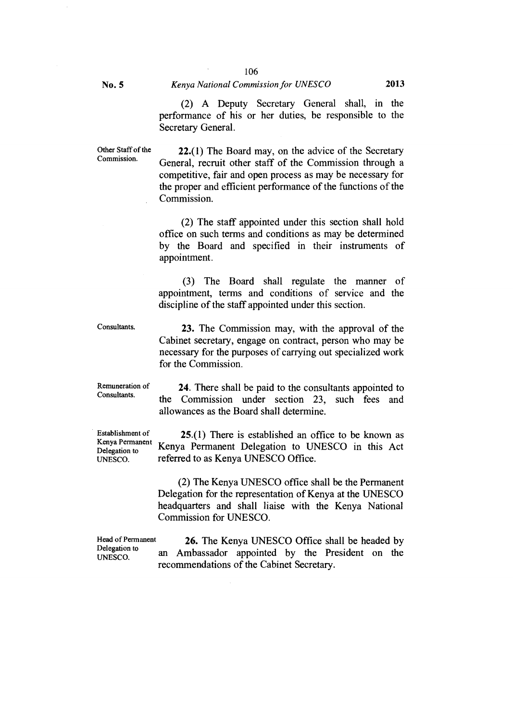Commission.

#### No. 5 *Kenya National Commission for UNESCO* 2013

(2) A Deputy Secretary General shall, in the performance of his or her duties, be responsible to the Secretary General.

Other Staff of the 22.(l) The Board may, on the advice of the Secretary General, recruit other staff of the Commission through a competitive, fair and open process as may be necessary for the proper and efficient performance of the functions of the Commission.

> (2) The staff appointed under this section shall hold office on such terms and conditions as may be determined by the Board and specified in their instruments of appointment.

> (3) The Board shall regulate the manner of appointment, terms and conditions of service and the discipline of the staff appointed under this section.

Consultants.

23. The Commission may, with the approval of the Cabinet secretary, engage on contract, person who may be necessary for the purposes of carrying out specialized work for the Commission.

Remuneration of Consultants.

24. There shall be paid to the consultants appointed to the Commission under section 23, such fees and allowances as the Board shall determine.

Establishment of Kenya Permanent Delegation to UNESCO.

25.(1) There is established an office to be known as Kenya Permanent Delegation to UNESCO in this Act referred to as Kenya UNESCO Office.

(2) The Kenya UNESCO office shall be the Permanent Delegation for the representation of Kenya at the UNESCO headquarters and shall liaise with the Kenya National Commission for UNESCO.

Head of Permanent Delegation to UNESCO.

26. The Kenya UNESCO Office shall be headed by an Ambassador appointed by the President on the recommendations of the Cabinet Secretary.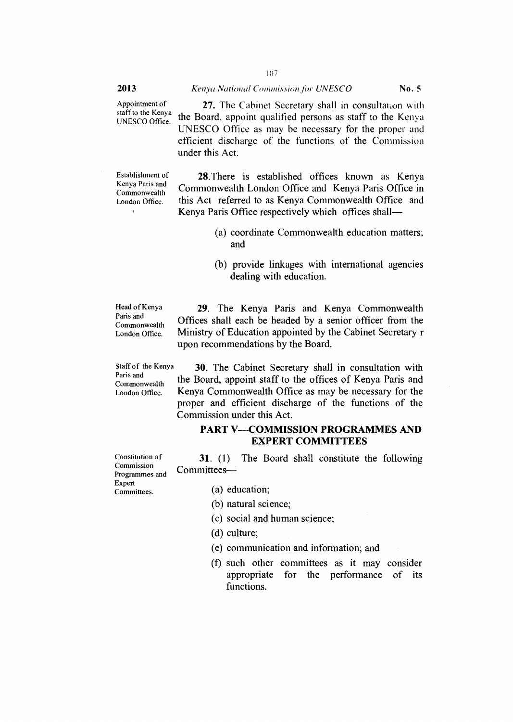Appointment of staff to the Kenya UNESCO Office.

27. The Cabinet Secretary shall in consultation with the Board, appoint qualified persons as staff to the Kenya UNESCO Office as may be necessary for the proper and efficient discharge of the functions of the Commission under this Act.

Establishment of Kenya Paris and Commonwealth London Office.

 $\mathbf{r}$ 

28.There is established offices known as Kenya Commonwealth London Office and Kenya Paris Office in this Act referred to as Kenya Commonwealth Office and Kenya Paris Office respectively which offices shall—

- (a) coordinate Commonwealth education matters; and
- (b) provide linkages with international agencies dealing with education.

Head of Kenya Paris and Commonwealth London Office.

29. The Kenya Paris and Kenya Commonwealth Offices shall each be headed by a senior officer from the Ministry of Education appointed by the Cabinet Secretary r upon recommendations by the Board.

Staff of the Kenya Paris and Commonwealth London Office.

Constitution of Commission

Expert

30. The Cabinet Secretary shall in consultation with the Board, appoint staff to the offices of Kenya Paris and Kenya Commonwealth Office as may be necessary for the proper and efficient discharge of the functions of the Commission under this Act.

# **PART V—COMMISSION PROGRAMMES AND EXPERT COMMITTEES**

**31.** (1) The Board shall constitute the following Committees—

- Programmes and Committees.
- (a) education;
- (b) natural science;
- (c) social and human science;
- (d) culture;
- (e) communication and information; and
- (f) such other committees as it may consider appropriate for the performance of its functions.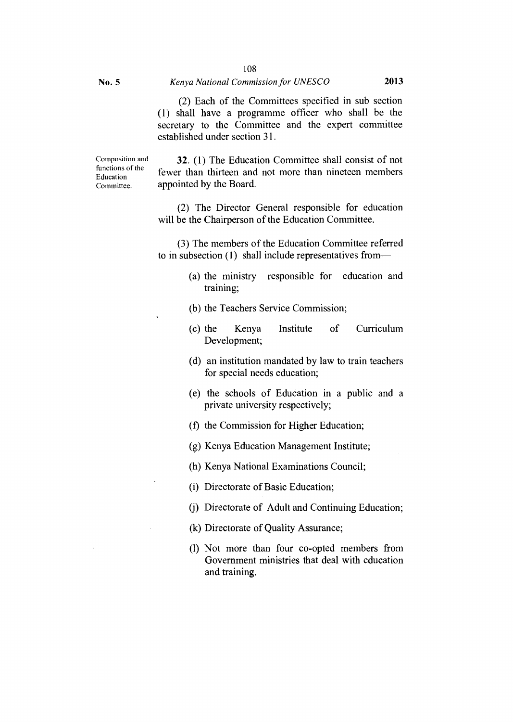(2) Each of the Committees specified in sub section (1) shall have a programme officer who shall be the secretary to the Committee and the expert committee established under section 31.

Composition and functions of the Education Committee.

**32.** (1) The Education Committee shall consist of not fewer than thirteen and not more than nineteen members appointed by the Board.

(2) The Director General responsible for education will be the Chairperson of the Education Committee.

(3) The members of the Education Committee referred to in subsection (1) shall include representatives from—

- (a) the ministry responsible for education and training;
- (b) the Teachers Service Commission;
- (c) the Kenya Institute of Curriculum Development;
- (d) an institution mandated by law to train teachers for special needs education;
- (e) the schools of Education in a public and a private university respectively;
- (f) the Commission for Higher Education;
- (g) Kenya Education Management Institute;
- (h) Kenya National Examinations Council;
- (i) Directorate of Basic Education;
- (j) Directorate of Adult and Continuing Education;
- (k) Directorate of Quality Assurance;
- (1) Not more than four co-opted members from Government ministries that deal with education and training.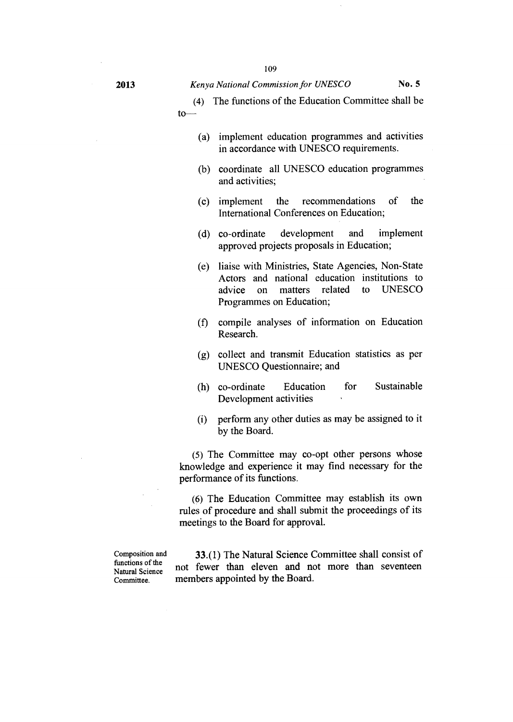(4) The functions of the Education Committee shall be to—

- (a) implement education programmes and activities in accordance with UNESCO requirements.
- (b) coordinate all UNESCO education programmes and activities;
- (c) implement the recommendations of the International Conferences on Education;
- (d) co-ordinate development and implement approved projects proposals in Education;
- (e) liaise with Ministries, State Agencies, Non-State Actors and national education institutions to advice on matters related to UNESCO Programmes on Education;
- (f) compile analyses of information on Education Research.
- (g) collect and transmit Education statistics as per UNESCO Questionnaire; and
- (h) co-ordinate Education for Sustainable Development activities
- (i) perform any other duties as may be assigned to it by the Board.

*(5)* The Committee may co-opt other persons whose knowledge and experience it may find necessary for the performance of its functions.

(6) The Education Committee may establish its own rules of procedure and shall submit the proceedings of its meetings to the Board for approval.

Composition and functions of the Natural Science Committee.

33.(1) The Natural Science Committee shall consist of not fewer than eleven and not more than seventeen members appointed by the Board.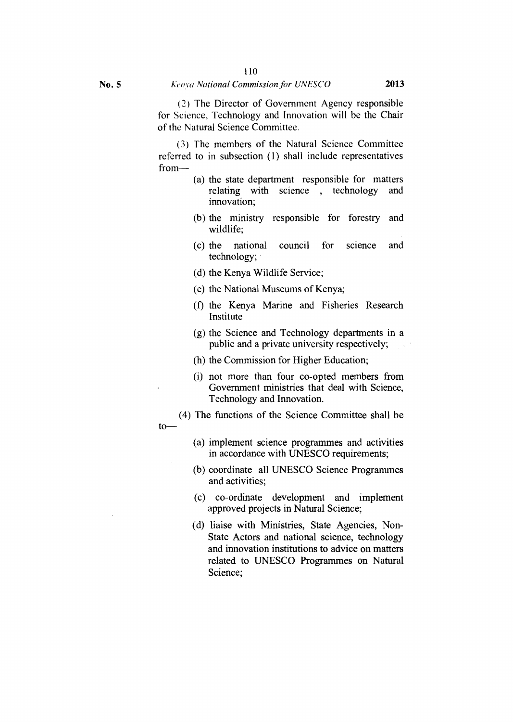(2) The Director of Government Agency responsible for Science, Technology and Innovation will be the Chair of the Natural Science Committee.

(3) The members of the Natural Science Committee referred to in subsection (1) shall include representatives from—

- (a) the state department responsible for matters relating with science , technology and innovation;
- (b) the ministry responsible for forestry and wildlife;
- (c) the national council for science and technology;
- (d) the Kenya Wildlife Service;
- (e) the National Museums of Kenya;
- (f) the Kenya Marine and Fisheries Research Institute
- (g) the Science and Technology departments in a public and a private university respectively;
- (h) the Commission for Higher Education;
- (i) not more than four co-opted members from Government ministries that deal with Science, Technology and Innovation.
- (4) The functions of the Science Committee shall be
	- (a) implement science programmes and activities in accordance with UNESCO requirements;
	- (b) coordinate all UNESCO Science Programmes and activities;
	- (c) co-ordinate development and implement approved projects in Natural Science;
	- (d) liaise with Ministries, State Agencies, Non-State Actors and national science, technology and innovation institutions to advice on matters related to UNESCO Programmes on Natural Science;

to—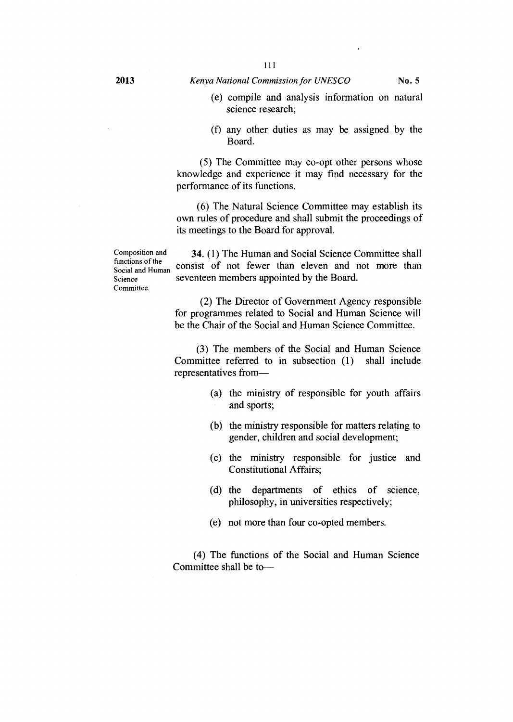- (e) compile and analysis information on natural science research;
- (f) any other duties as may be assigned by the Board.

(5) The Committee may co-opt other persons whose knowledge and experience it may find necessary for the performance of its functions.

(6) The Natural Science Committee may establish its own rules of procedure and shall submit the proceedings of its meetings to the Board for approval.

Composition and functions of the Social and Human Science Committee.

**34. (1)** The Human and Social Science Committee shall consist of not fewer than eleven and not more than seventeen members appointed by the Board.

(2) The Director of Government Agency responsible for programmes related to Social and Human Science will be the Chair of the Social and Human Science Committee.

(3) The members of the Social and Human Science Committee referred to in subsection (1) shall include representatives from—

- (a) the ministry of responsible for youth affairs and sports;
- (b) the ministry responsible for matters relating to gender, children and social development;
- (c) the ministry responsible for justice and Constitutional Affairs;
- (d) the departments of ethics of science, philosophy, in universities respectively;
- (e) not more than four co-opted members.

(4) The functions of the Social and Human Science Committee shall be to—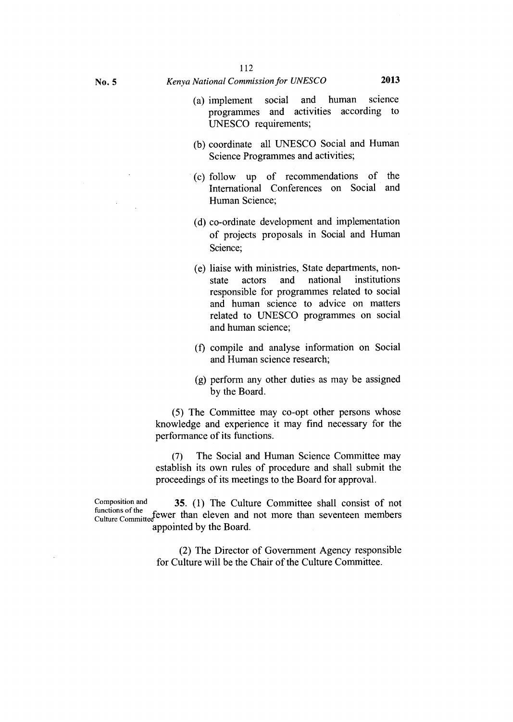- (a) implement social and human science programmes and activities according to UNESCO requirements;
- (b) coordinate all UNESCO Social and Human Science Programmes and activities;
- (c) follow up of recommendations of the International Conferences on Social and Human Science;
- (d) co-ordinate development and implementation of projects proposals in Social and Human Science;
- (e) liaise with ministries, State departments, nonstate actors and national institutions responsible for programmes related to social and human science to advice on matters related to UNESCO programmes on social and human science;
- (f) compile and analyse information on Social and Human science research;
- (g) perform any other duties as may be assigned by the Board.

(5) The Committee may co-opt other persons whose knowledge and experience it may find necessary for the performance of its functions.

*(7)* The Social and Human Science Committee may establish its own rules of procedure and shall submit the proceedings of its meetings to the Board for approval.

Composition and 35. (1) The Culture Committee shall consist of not runctions of the committee fewer than eleven and not more than seventeen members appointed by the Board.

> (2) The Director of Government Agency responsible for Culture will be the Chair of the Culture Committee.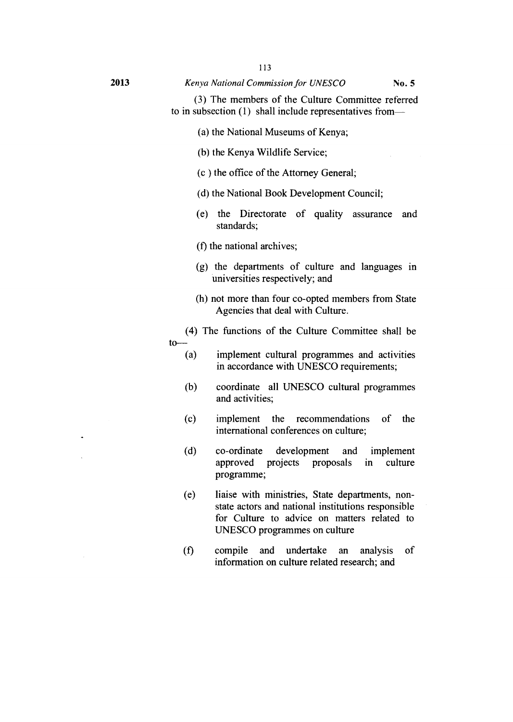(3) The members of the Culture Committee referred to in subsection (1) shall include representatives from—

- (a) the National Museums of Kenya;
- (b) the Kenya Wildlife Service;
- (c ) the office of the Attorney General;
- (d) the National Book Development Council;
- (e) the Directorate of quality assurance and standards;
- (f) the national archives;
- (g) the departments of culture and languages in universities respectively; and
- (h) not more than four co-opted members from State Agencies that deal with Culture.
- (4) The functions of the Culture Committee shall be  $\begin{array}{c}\n\text{to}\n\\
\text{(a)}\n\end{array}$ 
	- implement cultural programmes and activities in accordance with UNESCO requirements;
	- (b) coordinate all UNESCO cultural programmes and activities;
	- (c) implement the recommendations of the international conferences on culture;
	- (d) co-ordinate development and implement approved projects proposals in culture programme;
	- (e) liaise with ministries, State departments, nonstate actors and national institutions responsible for Culture to advice on matters related to UNESCO programmes on culture
	- (f) compile and undertake an analysis of information on culture related research; and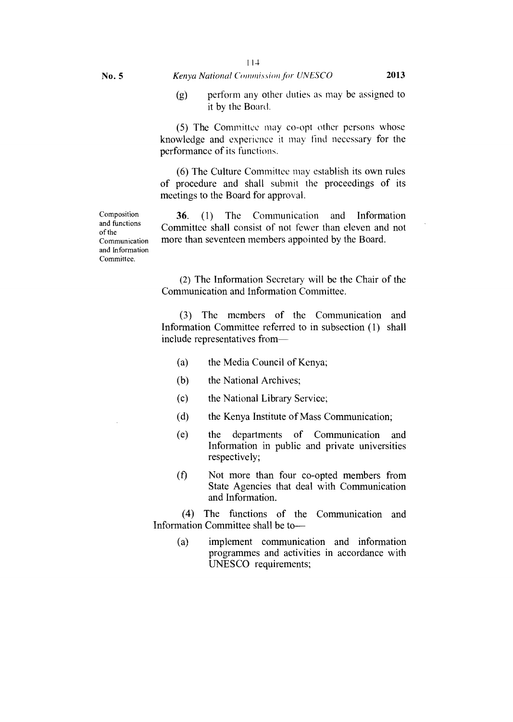(g) perform any other duties as may be assigned to it by the Board.

(5) The Committee may co-opt other persons whose knowledge and experience it may find necessary for the performance of its functions.

(6) The Culture Committee may establish its own rules of procedure and shall submit the proceedings of its meetings to the Board for approval.

36. (1) The Communication and Information Committee shall consist of not fewer than eleven and not more than seventeen members appointed by the Board.

(2) The Information Secretary will be the Chair of the Communication and Information Committee.

(3) The members of the Communication and Information Committee referred to in subsection (1) shall include representatives from—

- (a) the Media Council of Kenya;
- (b) the National Archives;
- (c) the National Library Service;
- (d) the Kenya Institute of Mass Communication;
- (e) the departments of Communication and Information in public and private universities respectively;
- $(f)$  Not more than four co-opted members from State Agencies that deal with Communication and Information.

(4) The functions of the Communication and Information Committee shall be to—

(a) implement communication and information programmes and activities in accordance with UNESCO requirements;

Composition and functions of the Communication and Information Committee.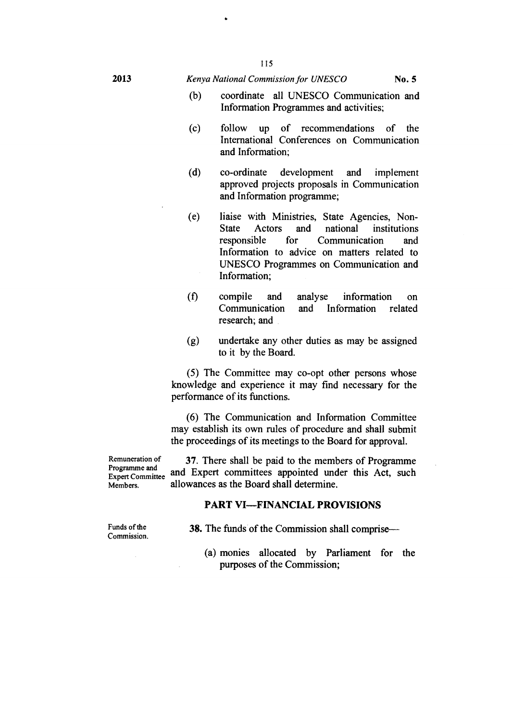- coordinate all UNESCO Communication and  $(b)$ Information Programmes and activities;
- $(c)$ follow up of recommendations of the International Conferences on Communication and Information;
- $(d)$ co-ordinate development and **implement**  approved projects proposals in Communication and Information programme;
- liaise with Ministries, State Agencies, Non- $(e)$ State Actors and national institutions<br>responsible for Communication and for Communication and Information to advice on matters related to UNESCO Programmes on Communication and Information;
- (f) compile and analyse information on Communication and Information related research; and
- (g) undertake any other duties as may be assigned to it by the Board.

(5) The Committee may co-opt other persons whose knowledge and experience it may find necessary for the performance of its functions.

(6) The Communication and Information Committee may establish its own rules of procedure and shall submit the proceedings of its meetings to the Board for approval.

Remuneration of Programme and Expert Committee Members.

**37.** There shall be paid to the members of Programme and Expert committees appointed under this Act, such allowances as the Board shall determine.

#### **PART VI—FINANCIAL PROVISIONS**

Funds of the Commission. **38.** The funds of the Commission shall comprise—

(a) monies allocated by Parliament for the purposes of the Commission;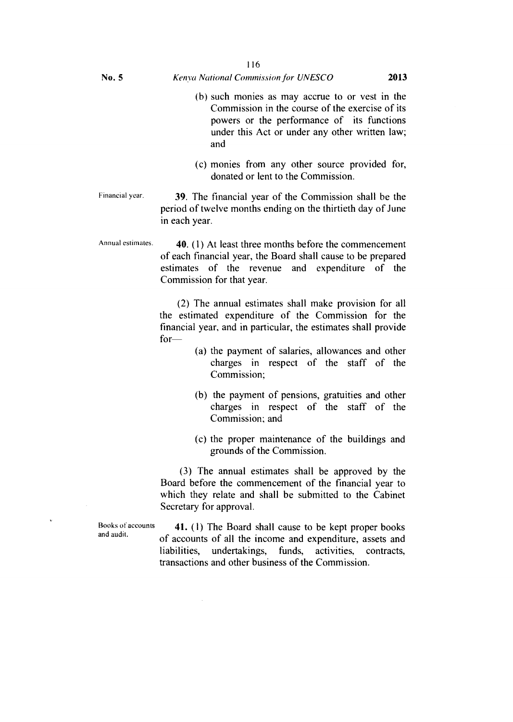- (b) such monies as may accrue to or vest in the Commission in the course of the exercise of its powers or the performance of its functions under this Act or under any other written law; and
- (c) monies from any other source provided for, donated or lent to the Commission.

Financial year. 39. The financial year of the Commission shall be the period of twelve months ending on the thirtieth day of June in each year.

Annual estimates. 40. (1) At least three months before the commencement of each financial year, the Board shall cause to be prepared estimates of the revenue and expenditure of the Commission for that year.

> (2) The annual estimates shall make provision for all the estimated expenditure of the Commission for the financial year, and in particular, the estimates shall provide for—

- (a) the payment of salaries, allowances and other charges in respect of the staff of the Commission;
- (b) the payment of pensions, gratuities and other charges in respect of the staff of the Commission; and
- (c) the proper maintenance of the buildings and grounds of the Commission.

(3) The annual estimates shall be approved by the Board before the commencement of the financial year to which they relate and shall be submitted to the Cabinet Secretary for approval.

Books of accounts and audit.

41. (1) The Board shall cause to be kept proper books of accounts of all the income and expenditure, assets and liabilities, undertakings, funds, activities, contracts, transactions and other business of the Commission.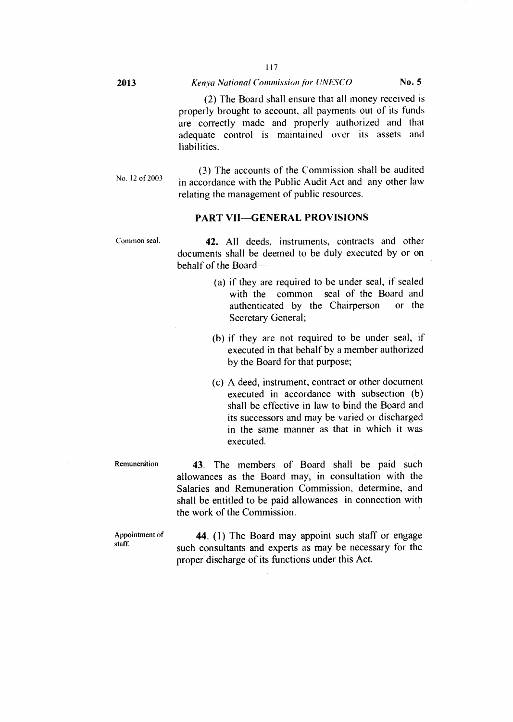(2) The Board shall ensure that all money received is properly brought to account, all payments out of its funds are correctly made and properly authorized and that adequate control is maintained over its assets and liabilities.

No. 12 of 2003

(3) The accounts of the Commission shall be audited in accordance with the Public Audit Act and any other law relating the management of public resources.

#### **PART VII—GENERAL PROVISIONS**

Common seal.

**42.** All deeds, instruments, contracts and other documents shall be deemed to be duly executed by or on behalf of the Board—

- (a) if they are required to be under seal, if sealed with the common seal of the Board and authenticated by the Chairperson or the Secretary General;
- (b) if they are not required to be under seal, if executed in that behalf by a member authorized by the Board for that purpose;
- (c) A deed, instrument, contract or other document executed in accordance with subsection (b) shall be effective in law to bind the Board and its successors and may be varied or discharged in the same manner as that in which it was executed.

**Remuneration** 

**43.** The members of Board shall be paid such allowances as the Board may, in consultation with the Salaries and Remuneration Commission, determine, and shall be entitled to be paid allowances in connection with the work of the Commission.

Appointment of staff.

**44.** (1) The Board may appoint such staff or engage such consultants and experts as may be necessary for the proper discharge of its functions under this Act.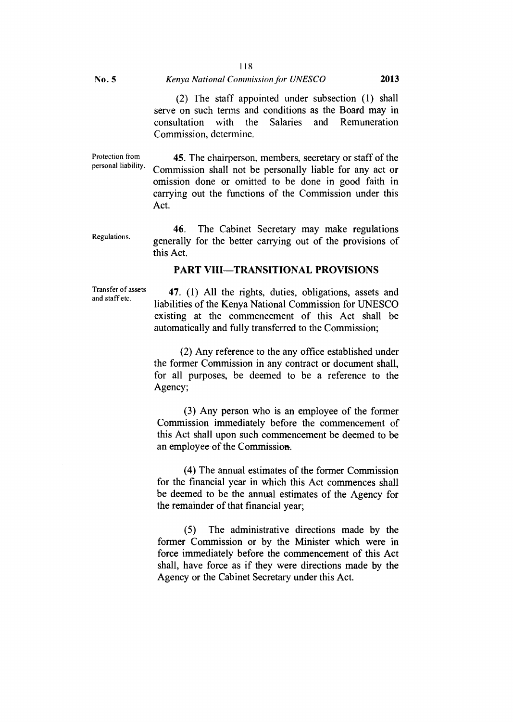#### 118

#### No. 5 *Kenya National Commission for UNESCO* **2013**

(2) The staff appointed under subsection (1) shall serve on such terms and conditions as the Board may in consultation with the Salaries and Remuneration Commission, determine.

Protection from personal liability.

45. The chairperson, members, secretary or staff of the Commission shall not be personally liable for any act or omission done or omitted to be done in good faith in carrying out the functions of the Commission under this Act.

Regulations. 46. The Cabinet Secretary may make regulations generally for the better carrying out of the provisions of this Act.

### **PART VIII—TRANSITIONAL PROVISIONS**

Transfer of assets and staff etc.

**47.** (1) All the rights, duties, obligations, assets and liabilities of the Kenya National Commission for UNESCO existing at the commencement of this Act shall be automatically and fully transferred to the Commission;

(2) Any reference to the any office established under the former Commission in any contract or document shall, for all purposes, be deemed to be a reference to the Agency;

(3) Any person who is an employee of the former Commission immediately before the commencement of this Act shall upon such commencement be deemed to be an employee of the Commission.

(4) The annual estimates of the former Commission for the financial year in which this Act commences shall be deemed to be the annual estimates of the Agency for the remainder of that financial year;

(5) The administrative directions made by the former Commission or by the Minister which were in force immediately before the commencement of this Act shall, have force as if they were directions made by the Agency or the Cabinet Secretary under this Act.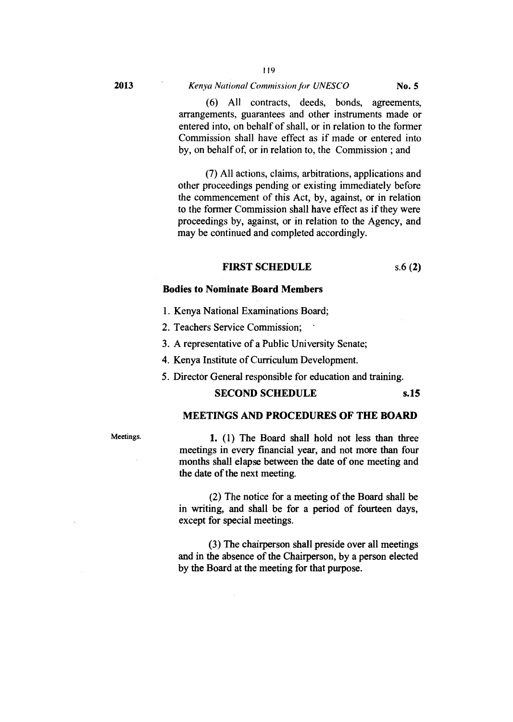119

(6) All contracts, deeds, bonds, agreements, arrangements, guarantees and other instruments made or entered into, on behalf of shall, or in relation to the former Commission shall have effect as if made or entered into by, on behalf of, or in relation to, the Commission ; and

(7) All actions, claims, arbitrations, applications and other proceedings pending or existing immediately before the commencement of this Act, by, against, or in relation to the former Commission shall have effect as if they were proceedings by, against, or in relation to the Agency, and may be continued and completed accordingly.

#### **FIRST SCHEDULE** s.6 **(2)**

#### **Bodies to Nominate Board Members**

- 1. Kenya National Examinations Board;
- 2. Teachers Service Commission; '

3. A representative of a Public University Senate;

- 4. Kenya Institute of Curriculum Development.
- 5. Director General responsible for education and training.

#### **SECOND SCHEDULE** s.15

# **MEETINGS AND PROCEDURES OF THE BOARD**

Meetings. **1.** (1) The Board shall hold not less than three meetings in every financial year, and not more than four months shall elapse between the date of one meeting and the date of the next meeting.

> (2) The notice for a meeting of the Board shall be in writing, and shall be for a period of fourteen days, except for special meetings.

> (3) The chairperson shall preside over all meetings and in the absence of the Chairperson, by a person elected by the Board at the meeting for that purpose.